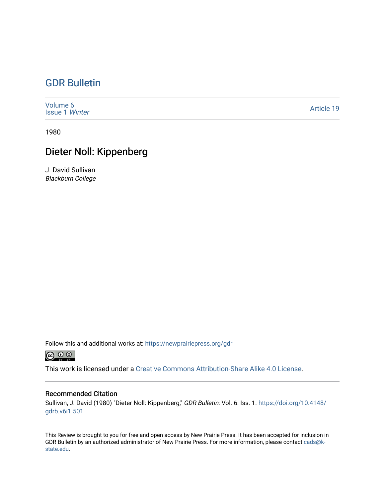## [GDR Bulletin](https://newprairiepress.org/gdr)

| Volume 6<br><b>Issue 1 Winter</b> | <b>Article 19</b> |
|-----------------------------------|-------------------|
|-----------------------------------|-------------------|

1980

## Dieter Noll: Kippenberg

J. David Sullivan Blackburn College

Follow this and additional works at: [https://newprairiepress.org/gdr](https://newprairiepress.org/gdr?utm_source=newprairiepress.org%2Fgdr%2Fvol6%2Fiss1%2F19&utm_medium=PDF&utm_campaign=PDFCoverPages) 



This work is licensed under a [Creative Commons Attribution-Share Alike 4.0 License.](https://creativecommons.org/licenses/by-sa/4.0/)

## Recommended Citation

Sullivan, J. David (1980) "Dieter Noll: Kippenberg," GDR Bulletin: Vol. 6: Iss. 1. [https://doi.org/10.4148/](https://doi.org/10.4148/gdrb.v6i1.501) [gdrb.v6i1.501](https://doi.org/10.4148/gdrb.v6i1.501) 

This Review is brought to you for free and open access by New Prairie Press. It has been accepted for inclusion in GDR Bulletin by an authorized administrator of New Prairie Press. For more information, please contact [cads@k](mailto:cads@k-state.edu)[state.edu](mailto:cads@k-state.edu).